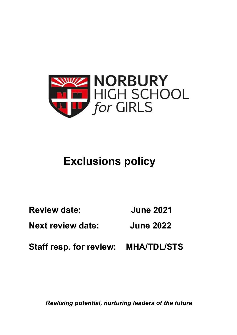

# **Exclusions policy**

**Review date: June 2021** 

**Next review date: June 2022** 

**Staff resp. for review: MHA/TDL/STS**

*Realising potential, nurturing leaders of the future*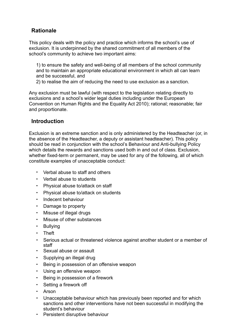# **Rationale**

This policy deals with the policy and practice which informs the school's use of exclusion. It is underpinned by the shared commitment of all members of the school's community to achieve two important aims:

1) to ensure the safety and well-being of all members of the school community and to maintain an appropriate educational environment in which all can learn and be successful, and

2) to realise the aim of reducing the need to use exclusion as a sanction.

Any exclusion must be lawful (with respect to the legislation relating directly to exclusions and a school's wider legal duties including under the European Convention on Human Rights and the Equality Act 2010); rational; reasonable; fair and proportionate.

## **Introduction**

Exclusion is an extreme sanction and is only administered by the Headteacher (or, in the absence of the Headteacher, a deputy or assistant headteacher). This policy should be read in conjunction with the school's Behaviour and Anti-bullying Policy which details the rewards and sanctions used both in and out of class. Exclusion, whether fixed-term or permanent, may be used for any of the following, all of which constitute examples of unacceptable conduct:

- Verbal abuse to staff and others
- Verbal abuse to students
- Physical abuse to/attack on staff
- Physical abuse to/attack on students
- Indecent behaviour
- Damage to property
- Misuse of illegal drugs
- Misuse of other substances
- Bullying
- Theft
- Serious actual or threatened violence against another student or a member of staff
- Sexual abuse or assault
- Supplying an illegal drug
- Being in possession of an offensive weapon
- Using an offensive weapon
- Being in possession of a firework
- Setting a firework off
- Arson
- Unacceptable behaviour which has previously been reported and for which sanctions and other interventions have not been successful in modifying the student's behaviour
- Persistent disruptive behaviour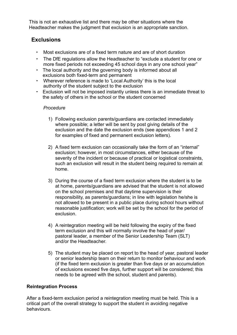This is not an exhaustive list and there may be other situations where the Headteacher makes the judgment that exclusion is an appropriate sanction.

# **Exclusions**

- Most exclusions are of a fixed term nature and are of short duration
- The DfE regulations allow the Headteacher to "exclude a student for one or more fixed periods not exceeding 45 school days in any one school year"
- The local authority and the governing body is informed about all exclusions both fixed-term and permanent
- Wherever reference is made to 'Local Authority' this is the local authority of the student subject to the exclusion
- Exclusion will not be imposed instantly unless there is an immediate threat to the safety of others in the school or the student concerned

## *Procedure*

- 1) Following exclusion parents/guardians are contacted immediately where possible; a letter will be sent by post giving details of the exclusion and the date the exclusion ends (see appendices 1 and 2 for examples of fixed and permanent exclusion letters).
- 2) A fixed term exclusion can occasionally take the form of an "internal" exclusion; however, in most circumstances, either because of the severity of the incident or because of practical or logistical constraints, such an exclusion will result in the student being required to remain at home.
- 3) During the course of a fixed term exclusion where the student is to be at home, parents/guardians are advised that the student is not allowed on the school premises and that daytime supervision is their responsibility, as parents/guardians; in line with legislation he/she is not allowed to be present in a public place during school hours without reasonable justification; work will be set by the school for the period of exclusion.
- 4) A reintegration meeting will be held following the expiry of the fixed term exclusion and this will normally involve the head of year/ pastoral leader, a member of the Senior Leadership Team (SLT) and/or the Headteacher.
- 5) The student may be placed on report to the head of year, pastoral leader or senior leadership team on their return to monitor behaviour and work (if the fixed term exclusion is greater than five days or an accumulation of exclusions exceed five days, further support will be considered; this needs to be agreed with the school, student and parents).

## **Reintegration Process**

After a fixed-term exclusion period a reintegration meeting must be held. This is a critical part of the overall strategy to support the student in avoiding negative behaviours.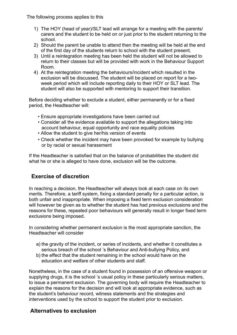The following process applies to this

- 1) The HOY (head of year)/SLT lead will arrange for a meeting with the parents/ carers and the student to be held on or just prior to the student returning to the school.
- 2) Should the parent be unable to attend then the meeting will be held at the end of the first day of the students return to school with the student present.
- 3) Until a reintegration meeting has been held the student will not be allowed to return to their classes but will be provided with work in the Behaviour Support Room.
- 4) At the reintegration meeting the behaviours/incident which resulted in the exclusion will be discussed. The student will be placed on report for a twoweek period which will include reporting daily to their HOY or SLT lead. The student will also be supported with mentoring to support their transition.

Before deciding whether to exclude a student, either permanently or for a fixed period, the Headteacher will:

- Ensure appropriate investigations have been carried out
- Consider all the evidence available to support the allegations taking into account behaviour, equal opportunity and race equality policies
- Allow the student to give her/his version of events
- Check whether the incident may have been provoked for example by bullying or by racial or sexual harassment

If the Headteacher is satisfied that on the balance of probabilities the student did what he or she is alleged to have done, exclusion will be the outcome.

## **Exercise of discretion**

In reaching a decision, the Headteacher will always look at each case on its own merits. Therefore, a tariff system, fixing a standard penalty for a particular action, is both unfair and inappropriate. When imposing a fixed term exclusion consideration will however be given as to whether the student has had previous exclusions and the reasons for these, repeated poor behaviours will generally result in longer fixed term exclusions being imposed.

In considering whether permanent exclusion is the most appropriate sanction, the Headteacher will consider

- a) the gravity of the incident, or series of incidents, and whether it constitutes a serious breach of the school 's Behaviour and Anti-bullying Policy, and
- b) the effect that the student remaining in the school would have on the education and welfare of other students and staff.

Nonetheless, in the case of a student found in possession of an offensive weapon or supplying drugs, it is the school 's usual policy in these particularly serious matters, to issue a permanent exclusion. The governing body will require the Headteacher to explain the reasons for the decision and will look at appropriate evidence, such as the student's behaviour record, witness statements and the strategies and interventions used by the school to support the student prior to exclusion.

# **Alternatives to exclusion**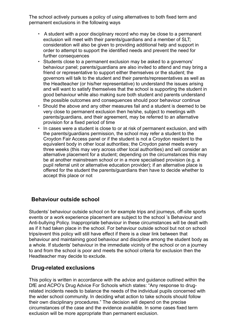The school actively pursues a policy of using alternatives to both fixed term and permanent exclusions in the following ways

- A student with a poor disciplinary record who may be close to a permanent exclusion will meet with their parents/guardians and a member of SLT; consideration will also be given to providing additional help and support in order to attempt to support the identified needs and prevent the need for further consequences
- Students close to a permanent exclusion may be asked to a governors' behaviour panel; parents/guardians are also invited to attend and may bring a friend or representative to support either themselves or the student; the governors will talk to the student and their parents/representatives as well as the Headteacher (or his/her representative) to understand the issues arising and will want to satisfy themselves that the school is supporting the student in good behaviour while also making sure both student and parents understand the possible outcomes and consequences should poor behaviour continue
- Should the above and any other measures fail and a student is deemed to be very close to permanent exclusion then he/she, subject to meetings with parents/guardians, and their agreement, may be referred to an alternative provision for a fixed period of time
- In cases were a student is close to or at risk of permanent exclusion, and with the parents/guardians permission, the school may refer a student to the Croydon Fair Access panel or if the student is not a Croydon resident to the equivalent body in other local authorities; the Croydon panel meets every three weeks (this may very across other local authorities) and will consider an alternative placement for a student; depending on the circumstances this may be at another mainstream school or in a more specialised provision (e.g. a pupil referral unit or alternative education provider); if an alternative place is offered for the student the parents/guardians then have to decide whether to accept this place or not

## **Behaviour outside school**

Students' behaviour outside school on for example trips and journeys, off-site sports events or a work experience placement are subject to the school 's Behaviour and Anti-bullying Policy. Inappropriate behaviour in these circumstances will be dealt with as if it had taken place in the school. For behaviour outside school but not on school trips/event this policy will still have effect if there is a clear link between that behaviour and maintaining good behaviour and discipline among the student body as a whole. If students' behaviour in the immediate vicinity of the school or on a journey to and from the school is poor and meets the school criteria for exclusion then the Headteacher may decide to exclude.

## **Drug-related exclusions**

This policy is written in accordance with the advice and guidance outlined within the DfE and ACPO's Drug Advice For Schools which states: "Any response to drugrelated incidents needs to balance the needs of the individual pupils concerned with the wider school community. In deciding what action to take schools should follow their own disciplinary procedures." The decision will depend on the precise circumstances of the case and the evidence available. In some cases fixed term exclusion will be more appropriate than permanent exclusion.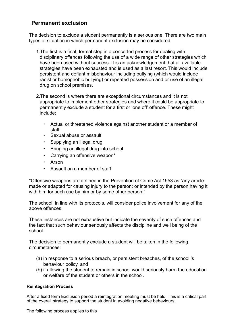## **Permanent exclusion**

The decision to exclude a student permanently is a serious one. There are two main types of situation in which permanent exclusion may be considered.

- 1.The first is a final, formal step in a concerted process for dealing with disciplinary offences following the use of a wide range of other strategies which have been used without success. It is an acknowledgement that all available strategies have been exhausted and is used as a last resort. This would include persistent and defiant misbehaviour including bullying (which would include racist or homophobic bullying) or repeated possession and or use of an illegal drug on school premises.
- 2.The second is where there are exceptional circumstances and it is not appropriate to implement other strategies and where it could be appropriate to permanently exclude a student for a first or 'one off' offence. These might include:
	- Actual or threatened violence against another student or a member of staff
	- Sexual abuse or assault
	- Supplying an illegal drug
	- Bringing an illegal drug into school
	- Carrying an offensive weapon\*
	- Arson
	- Assault on a member of staff

\*Offensive weapons are defined in the Prevention of Crime Act 1953 as "any article made or adapted for causing injury to the person; or intended by the person having it with him for such use by him or by some other person."

The school, in line with its protocols, will consider police involvement for any of the above offences.

These instances are not exhaustive but indicate the severity of such offences and the fact that such behaviour seriously affects the discipline and well being of the school.

The decision to permanently exclude a student will be taken in the following circumstances:

- (a) in response to a serious breach, or persistent breaches, of the school 's behaviour policy, and
- (b) if allowing the student to remain in school would seriously harm the education or welfare of the student or others in the school.

### **Reintegration Process**

After a fixed term Exclusion period a reintegration meeting must be held. This is a critical part of the overall strategy to support the student in avoiding negative behaviours.

The following process applies to this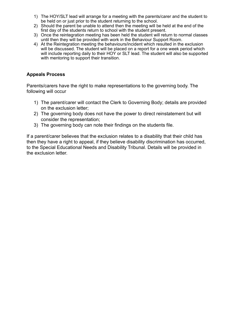- 1) The HOY/SLT lead will arrange for a meeting with the parents/carer and the student to be held on or just prior to the student returning to the school.
- 2) Should the parent be unable to attend then the meeting will be held at the end of the first day of the students return to school with the student present.
- 3) Once the reintegration meeting has been held the student will return to normal classes until then they will be provided with work in the Behaviour Support Room.
- 4) At the Reintegration meeting the behaviours/incident which resulted in the exclusion will be discussed. The student will be placed on a report for a one week period which will include reporting daily to their HOY or SLT lead. The student will also be supported with mentoring to support their transition.

## **Appeals Process**

Parents/carers have the right to make representations to the governing body. The following will occur

- 1) The parent/carer will contact the Clerk to Governing Body; details are provided on the exclusion letter;
- 2) The governing body does not have the power to direct reinstatement but will consider the representation;
- 3) The governing body can note their findings on the students file.

If a parent/carer believes that the exclusion relates to a disability that their child has then they have a right to appeal, if they believe disability discrimination has occurred, to the Special Educational Needs and Disability Tribunal. Details will be provided in the exclusion letter.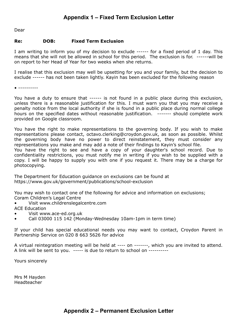# **Appendix 1 – Fixed Term Exclusion Letter**

Dear

#### **Re: DOB: Fixed Term Exclusion**

I am writing to inform you of my decision to exclude ------ for a fixed period of 1 day. This means that she will not be allowed in school for this period. The exclusion is for. ------will be on report to her Head of Year for two weeks when she returns.

I realise that this exclusion may well be upsetting for you and your family, but the decision to exclude ------ has not been taken lightly. Kayin has been excluded for the following reason

• ----------

You have a duty to ensure that ----- is not found in a public place during this exclusion, unless there is a reasonable justification for this. I must warn you that you may receive a penalty notice from the local authority if she is found in a public place during normal college hours on the specified dates without reasonable justification. ------- should complete work provided on Google classroom.

You have the right to make representations to the governing body. If you wish to make representations please contact, octavo.clerking@croydon.gov.uk, as soon as possible. Whilst the governing body have no power to direct reinstatement, they must consider any representations you make and may add a note of their findings to Kayin's school file.

You have the right to see and have a copy of your daughter's school record. Due to confidentiality restrictions, you must notify me in writing if you wish to be supplied with a copy. I will be happy to supply you with one if you request it. There may be a charge for photocopying.

The Department for Education guidance on exclusions can be found at https://www.gov.uk/government/publications/school-exclusion

You may wish to contact one of the following for advice and information on exclusions; Coram Children's Legal Centre

• Visit www.childrenslegalcentre.com

ACE Education

- Visit www.ace-ed.org.uk
- Call 03000 115 142 (Monday-Wednesday 10am-1pm in term time)

If your child has special educational needs you may want to contact, Croydon Parent in Partnership Service on 020 8 663 5626 for advice

A virtual reintegration meeting will be held at ---- on -------, which you are invited to attend. A link will be sent to you. ----- is due to return to school on ----------

Yours sincerely

Mrs M Hayden Headteacher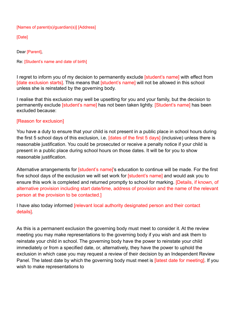#### [Names of parent(s)/guardian(s)] [Address]

[Date]

Dear [Parent],

Re: [Student's name and date of birth]

I regret to inform you of my decision to permanently exclude [student's name] with effect from [date exclusion starts]. This means that [student's name] will not be allowed in this school unless she is reinstated by the governing body.

I realise that this exclusion may well be upsetting for you and your family, but the decision to permanently exclude *[student's name]* has not been taken lightly. *[Student's name]* has been excluded because:

### [Reason for exclusion]

You have a duty to ensure that your child is not present in a public place in school hours during the first 5 school days of this exclusion, i.e. [dates of the first 5 days] (inclusive) unless there is reasonable justification. You could be prosecuted or receive a penalty notice if your child is present in a public place during school hours on those dates. It will be for you to show reasonable justification.

Alternative arrangements for **[student's name]'s education to continue will be made.** For the first five school days of the exclusion we will set work for **[student's name]** and would ask you to ensure this work is completed and returned promptly to school for marking. [Details, if known, of alternative provision including start date/time, address of provision and the name of the relevant person at the provision to be contacted.]

I have also today informed [relevant local authority designated person and their contact details].

As this is a permanent exclusion the governing body must meet to consider it. At the review meeting you may make representations to the governing body if you wish and ask them to reinstate your child in school. The governing body have the power to reinstate your child immediately or from a specified date, or, alternatively, they have the power to uphold the exclusion in which case you may request a review of their decision by an Independent Review Panel. The latest date by which the governing body must meet is *[latest date for meeting]*. If you wish to make representations to